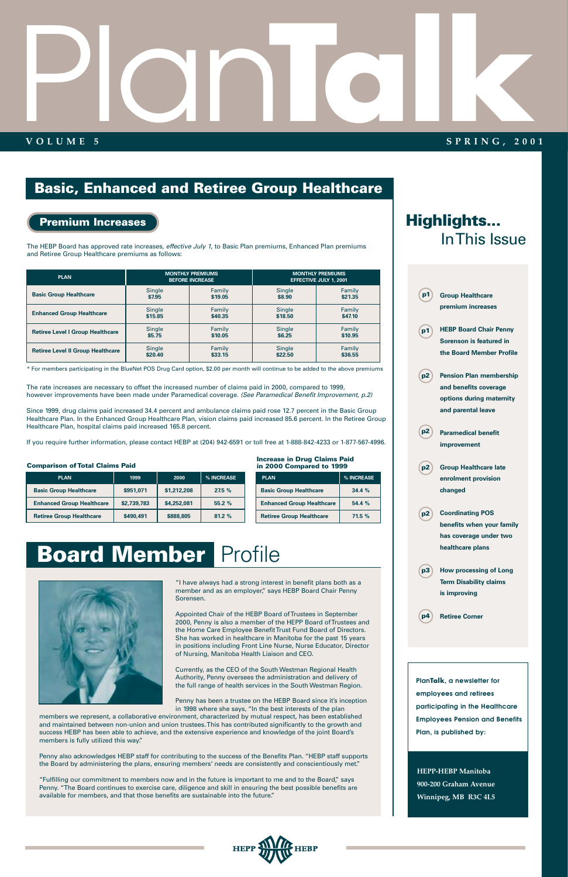**VOLUME 5**

# **TALK SPRING, 200 SPRING, 2001**

# **Basic, Enhanced and Retiree Group Healthcare**

Plan



**HEPP-HEBP Manitoba 900-200 Graham Avenue Winnipeg, MB R3C 4L5**



**Highlights...**

In This Issue



"I have always had a strong interest in benefit plans both as a member and as an employer," says HEBP Board Chair Penny Sorensen.

Appointed Chair of the HEBP Board of Trustees in September 2000, Penny is also a member of the HEPP Board of Trustees and the Home Care Employee Benefit Trust Fund Board of Directors. She has worked in healthcare in Manitoba for the past 15 years in positions including Front Line Nurse, Nurse Educator, Director of Nursing, Manitoba Health Liaison and CEO.

Currently, as the CEO of the South Westman Regional Health Authority, Penny oversees the administration and delivery of the full range of health services in the South Westman Region.

### **Group Healthcare premium increases HEBP Board Chair Penny Sorenson is featured in the Board Member Profile Pension Plan membership and benefits coverage options during maternity and parental leave Paramedical benefit improvement Group Healthcare late enrolment provision changed Coordinating POS benefits when your family has coverage under two healthcare plans How processing of Long Term Disability claims is improving p1 p2 p1 p2 p2 p2 p3**

Penny has been a trustee on the HEBP Board since it's inception in 1998 where she says, "In the best interests of the plan

members we represent, a collaborative environment, characterized by mutual respect, has been established and maintained between non-union and union trustees. This has contributed significantly to the growth and success HEBP has been able to achieve, and the extensive experience and knowledge of the joint Board's members is fully utilized this way."

Penny also acknowledges HEBP staff for contributing to the success of the Benefits Plan. "HEBP staff supports the Board by administering the plans, ensuring members' needs are consistently and conscientiously met."

"Fulfilling our commitment to members now and in the future is important to me and to the Board," says Penny. "The Board continues to exercise care, diligence and skill in ensuring the best possible benefits are available for members, and that those benefits are sustainable into the future."

### **Premium Increases**

The HEBP Board has approved rate increases, *effective July 1*, to Basic Plan premiums, Enhanced Plan premiums and Retiree Group Healthcare premiums as follows:

The rate increases are necessary to offset the increased number of claims paid in 2000, compared to 1999, however improvements have been made under Paramedical coverage. *(See Paramedical Benefit Improvement, p.2)*

Since 1999, drug claims paid increased 34.4 percent and ambulance claims paid rose 12.7 percent in the Basic Group Healthcare Plan. In the Enhanced Group Healthcare Plan, vision claims paid increased 85.6 percent. In the Retiree Group Healthcare Plan, hospital claims paid increased 165.8 percent.

If you require further information, please contact HEBP at (204) 942-6591 or toll free at 1-888-842-4233 or 1-877-567-4996.

| <b>PLAN</b>                              | <b>MONTHLY PREMIUMS</b><br><b>BEFORE INCREASE</b> |         | <b>MONTHLY PREMIUMS</b><br><b>EFFECTIVE JULY 1, 2001</b> |         |
|------------------------------------------|---------------------------------------------------|---------|----------------------------------------------------------|---------|
| <b>Basic Group Healthcare</b>            | Single                                            | Family  | Single                                                   | Family  |
|                                          | \$7.95                                            | \$19.05 | \$8.90                                                   | \$21.35 |
| <b>Enhanced Group Healthcare</b>         | Single                                            | Family  | Single                                                   | Family  |
|                                          | \$15.85                                           | \$40.35 | \$18.50                                                  | \$47.10 |
| <b>Retiree Level I Group Healthcare</b>  | Single                                            | Family  | Single                                                   | Family  |
|                                          | \$5.75                                            | \$10.05 | \$6.25                                                   | \$10.95 |
| <b>Retiree Level II Group Healthcare</b> | Single                                            | Family  | Single                                                   | Family  |
|                                          | \$20.40                                           | \$33.15 | \$22.50                                                  | \$36.55 |

| <b>PLAN</b>                      | 1999        | 2000        | % INCREASE |
|----------------------------------|-------------|-------------|------------|
| <b>Basic Group Healthcare</b>    | \$951,071   | \$1,212,208 | 27.5%      |
| <b>Enhanced Group Healthcare</b> | \$2,739,783 | \$4,252,081 | 55.2 %     |
| <b>Retiree Group Healthcare</b>  | \$490,491   | \$888,805   | 81.2 %     |

#### **Comparison of Total Claims Paid**

| <b>PLAN</b>                      | % INCREASE |
|----------------------------------|------------|
| <b>Basic Group Healthcare</b>    | 34.4%      |
| <b>Enhanced Group Healthcare</b> | 54.4%      |
| <b>Retiree Group Healthcare</b>  | 71.5%      |

### **Board Member | Profile**



### **Increase in Drug Claims Paid in 2000 Compared to 1999**

\* For members participating in the BlueNet POS Drug Card option, \$2.00 per month will continue to be added to the above premiums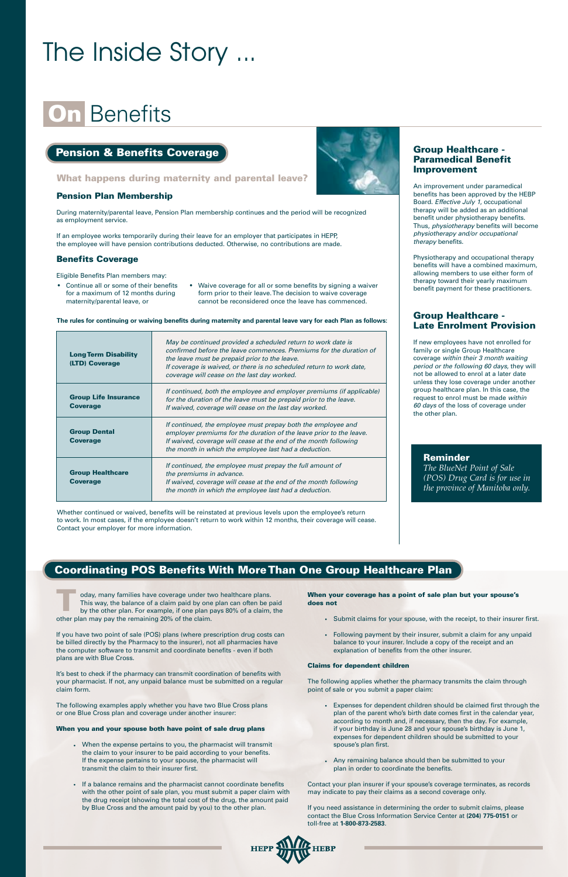## **On** Benefits

# The Inside Story ...

If you have two point of sale (POS) plans (where prescription drug costs can be billed directly by the Pharmacy to the insurer), not all pharmacies have the computer software to transmit and coordinate benefits - even if both plans are with Blue Cross.

It's best to check if the pharmacy can transmit coordination of benefits with your pharmacist. If not, any unpaid balance must be submitted on a regular claim form.

The following examples apply whether you have two Blue Cross plans or one Blue Cross plan and coverage under another insurer:

#### **When you and your spouse both have point of sale drug plans**

- When the expense pertains to you, the pharmacist will transmit the claim to your insurer to be paid according to your benefits. If the expense pertains to your spouse, the pharmacist will transmit the claim to their insurer first.
- If a balance remains and the pharmacist cannot coordinate benefits with the other point of sale plan, you must submit a paper claim with the drug receipt (showing the total cost of the drug, the amount paid by Blue Cross and the amount paid by you) to the other plan.

oday, many families have coverage under two healthcare plans. This way, the balance of a claim paid by one plan can often be paid by the other plan. For example, if one plan pays 80% of a claim, the other plan may pay the remaining 20% of the claim. **T**

**When your coverage has a point of sale plan but your spouse's does not**

- Submit claims for your spouse, with the receipt, to their insurer first.
- Following payment by their insurer, submit a claim for any unpaid balance to your insurer. Include a copy of the receipt and an

explanation of benefits from the other insurer.

#### **Claims for dependent children**

The following applies whether the pharmacy transmits the claim through point of sale or you submit a paper claim:

- Expenses for dependent children should be claimed first through the plan of the parent who's birth date comes first in the calendar year, according to month and, if necessary, then the day. For example, if your birthday is June 28 and your spouse's birthday is June 1, expenses for dependent children should be submitted to your spouse's plan first.
- Any remaining balance should then be submitted to your plan in order to coordinate the benefits.

Contact your plan insurer if your spouse's coverage terminates, as records may indicate to pay their claims as a second coverage only.

If you need assistance in determining the order to submit claims, please contact the Blue Cross Information Service Center at **(204) 775-0151** or toll-free at **1-800-873-2583**.



### **Coordinating POS Benefits With More Than One Group Healthcare Plan**

### **Group Healthcare - Paramedical Benefit Improvement**

An improvement under paramedical benefits has been approved by the HEBP Board. *Effective July 1*, occupational therapy will be added as an additional benefit under physiotherapy benefits. Thus, *physiotherapy* benefits will become *physiotherapy and/or occupational therapy* benefits.

Physiotherapy and occupational therapy benefits will have a combined maximum, allowing members to use either form of therapy toward their yearly maximum benefit payment for these practitioners.

### **Group Healthcare - Late Enrolment Provision**

If new employees have not enrolled for family or single Group Healthcare coverage *within their 3 month waiting period or the following 60 days,* they will not be allowed to enrol at a later date unless they lose coverage under another group healthcare plan. In this case, the request to enrol must be made *within 60 days* of the loss of coverage under the other plan.

### **Pension Plan Membership**

During maternity/parental leave, Pension Plan membership continues and the period will be recognized as employment service.

If an employee works temporarily during their leave for an employer that participates in HEPP, the employee will have pension contributions deducted. Otherwise, no contributions are made.

### **Benefits Coverage**

Eligible Benefits Plan members may:

### **Pension & Benefits Coverage**

| <b>Long Term Disability</b><br>(LTD) Coverage  | May be continued provided a scheduled return to work date is<br>confirmed before the leave commences. Premiums for the duration of<br>the leave must be prepaid prior to the leave.<br>If coverage is waived, or there is no scheduled return to work date,<br>coverage will cease on the last day worked. |
|------------------------------------------------|------------------------------------------------------------------------------------------------------------------------------------------------------------------------------------------------------------------------------------------------------------------------------------------------------------|
| <b>Group Life Insurance</b><br><b>Coverage</b> | If continued, both the employee and employer premiums (if applicable)<br>for the duration of the leave must be prepaid prior to the leave.<br>If waived, coverage will cease on the last day worked.                                                                                                       |
| <b>Group Dental</b><br><b>Coverage</b>         | If continued, the employee must prepay both the employee and<br>employer premiums for the duration of the leave prior to the leave.<br>If waived, coverage will cease at the end of the month following<br>the month in which the employee last had a deduction.                                           |
| <b>Group Healthcare</b><br><b>Coverage</b>     | If continued, the employee must prepay the full amount of<br>the premiums in advance.<br>If waived, coverage will cease at the end of the month following<br>the month in which the employee last had a deduction.                                                                                         |

Whether continued or waived, benefits will be reinstated at previous levels upon the employee's return to work. In most cases, if the employee doesn't return to work within 12 months, their coverage will cease. Contact your employer for more information.



#### **The rules for continuing or waiving benefits during maternity and parental leave vary for each Plan as follows:**

### **What happens during maternity and parental leave?**

### **Reminder**

*The BlueNet Point of Sale (POS) Drug Card is for use in the province of Manitoba only.*

- Continue all or some of their benefits for a maximum of 12 months during maternity/parental leave, or
- Waive coverage for all or some benefits by signing a waiver form prior to their leave. The decision to waive coverage cannot be reconsidered once the leave has commenced.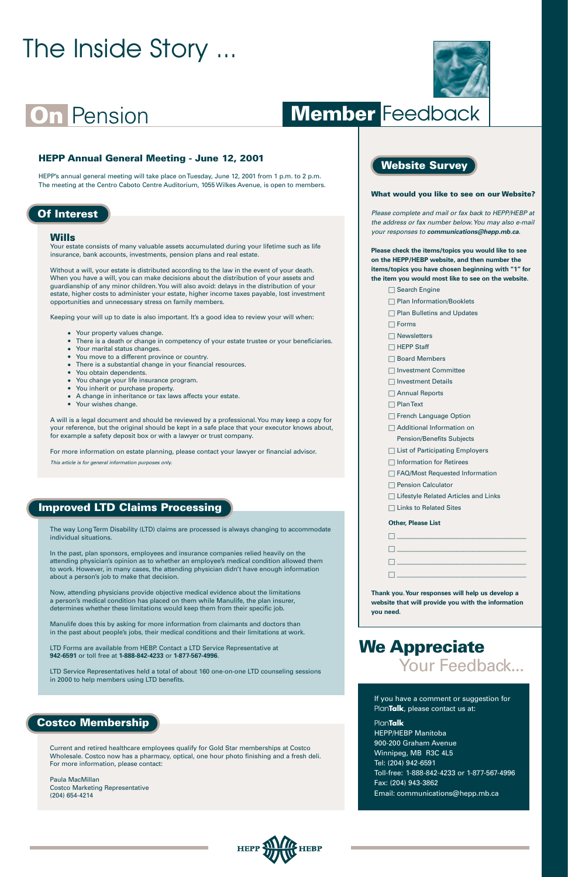### **On** Pension

# The Inside Story ...



### **Website Survey**

#### **What would you like to see on our Website?**

*Please complete and mail or fax back to HEPP/HEBP at the address or fax number below. You may also e-mail your responses to communications@hepp.mb.ca.*

- □ Forms
- □ Newsletters
- $\Box$  HEPP Staff
- □ Board Members
- □ Investment Committee
- □ Investment Details
- □ Annual Reports
- □ Plan Text
- □ French Language Option
- □ Additional Information on
	- Pension/Benefits Subjects
- □ List of Participating Employers
- □ Information for Retirees
- □ FAQ/Most Requested Information
- □ Pension Calculator
- □ Lifestyle Related Articles and Links
- $\Box$  Links to Related Sites

**Please check the items/topics you would like to see on the HEPP/HEBP website, and then number the items/topics you have chosen beginning with "1" for the item you would most like to see on the website.**

> □ Search Engine □ Plan Information/Booklets □ Plan Bulletins and Updates

#### **Other, Please List**

| <u> 1950 - Johann Stoff, francuski filozof (</u>                                                                     |  |
|----------------------------------------------------------------------------------------------------------------------|--|
| <u> 1950 - Johann Barbara, martin basa</u>                                                                           |  |
| <u> 1950 - Jan Barbara Barbara, poeta poeta poeta poeta poeta poeta poeta poeta poeta poeta poeta poeta poeta po</u> |  |
|                                                                                                                      |  |
| <u>a matana amin'ny fivondronan-kaominin'i Paris-</u>                                                                |  |

**Thank you.Your responses will help us develop a website that will provide you with the information you need.**



If you have a comment or suggestion for Plan**Talk**, please contact us at:

Plan**Talk**

- Your property values change.
- There is a death or change in competency of your estate trustee or your beneficiaries.
- Your marital status changes.
- You move to a different province or country.
- There is a substantial change in your financial resources.
- You obtain dependents.
- You change your life insurance program.
- You inherit or purchase property.
- A change in inheritance or tax laws affects your estate.
- Your wishes change.

HEPP/HEBP Manitoba 900-200 Graham Avenue Winnipeg, MB R3C 4L5 Tel: (204) 942-6591 Toll-free: 1-888-842-4233 or 1-877-567-4996 Fax: (204) 943-3862 Email: communications@hepp.mb.ca



#### **Wills**

Your estate consists of many valuable assets accumulated during your lifetime such as life insurance, bank accounts, investments, pension plans and real estate.

Without a will, your estate is distributed according to the law in the event of your death. When you have a will, you can make decisions about the distribution of your assets and guardianship of any minor children. You will also avoid: delays in the distribution of your estate, higher costs to administer your estate, higher income taxes payable, lost investment opportunities and unnecessary stress on family members.

Keeping your will up to date is also important. It's a good idea to review your will when:

A will is a legal document and should be reviewed by a professional. You may keep a copy for your reference, but the original should be kept in a safe place that your executor knows about, for example a safety deposit box or with a lawyer or trust company.

For more information on estate planning, please contact your lawyer or financial advisor.

*This article is for general information purposes only.*

### **Of Interest**

Current and retired healthcare employees qualify for Gold Star memberships at Costco Wholesale. Costco now has a pharmacy, optical, one hour photo finishing and a fresh deli. For more information, please contact:

Paula MacMillan Costco Marketing Representative (204) 654-4214

### **Costco Membership**

### **We Appreciate** Your Feedback...

### **Member** Feedback

### **HEPP Annual General Meeting - June 12, 2001**

HEPP's annual general meeting will take place on Tuesday, June 12, 2001 from 1 p.m. to 2 p.m. The meeting at the Centro Caboto Centre Auditorium, 1055 Wilkes Avenue, is open to members.

The way Long Term Disability (LTD) claims are processed is always changing to accommodate individual situations.

In the past, plan sponsors, employees and insurance companies relied heavily on the attending physician's opinion as to whether an employee's medical condition allowed them to work. However, in many cases, the attending physician didn't have enough information about a person's job to make that decision.

Now, attending physicians provide objective medical evidence about the limitations a person's medical condition has placed on them while Manulife, the plan insurer, determines whether these limitations would keep them from their specific job.

Manulife does this by asking for more information from claimants and doctors than in the past about people's jobs, their medical conditions and their limitations at work.

LTD Forms are available from HEBP. Contact a LTD Service Representative at **942-6591** or toll free at **1-888-842-4233** or **1-877-567-4996**.

LTD Service Representatives held a total of about 160 one-on-one LTD counseling sessions in 2000 to help members using LTD benefits.

### **Improved LTD Claims Processing**